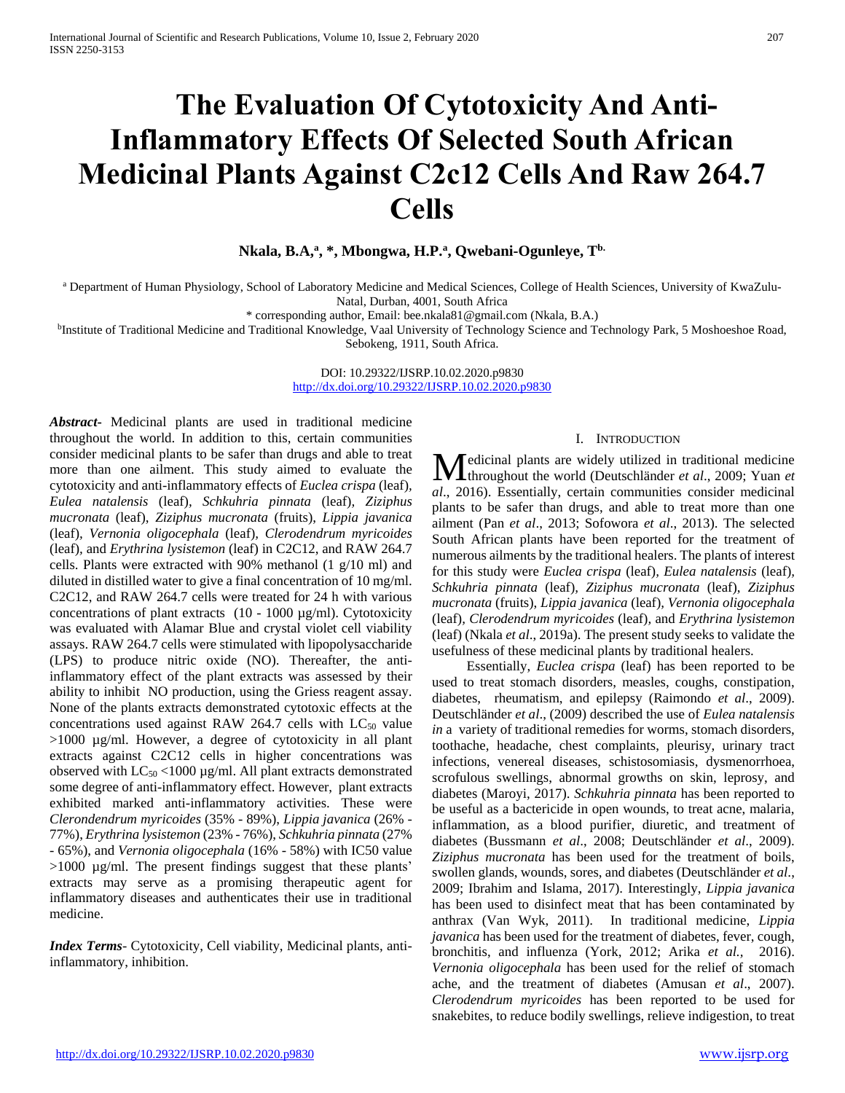# **The Evaluation Of Cytotoxicity And Anti-Inflammatory Effects Of Selected South African Medicinal Plants Against C2c12 Cells And Raw 264.7 Cells**

**Nkala, B.A,<sup>a</sup> , \*, Mbongwa, H.P.<sup>a</sup> , Qwebani-Ogunleye, Tb.**

a Department of Human Physiology, School of Laboratory Medicine and Medical Sciences, College of Health Sciences, University of KwaZulu-Natal, Durban, 4001, South Africa

\* corresponding author, Email: bee.nkala81@gmail.com (Nkala, B.A.)

<sup>b</sup>Institute of Traditional Medicine and Traditional Knowledge, Vaal University of Technology Science and Technology Park, 5 Moshoeshoe Road, Sebokeng, 1911, South Africa.

> DOI: 10.29322/IJSRP.10.02.2020.p9830 <http://dx.doi.org/10.29322/IJSRP.10.02.2020.p9830>

*Abstract***-** Medicinal plants are used in traditional medicine throughout the world. In addition to this, certain communities consider medicinal plants to be safer than drugs and able to treat more than one ailment. This study aimed to evaluate the cytotoxicity and anti-inflammatory effects of *Euclea crispa* (leaf)*, Eulea natalensis* (leaf)*, Schkuhria pinnata* (leaf)*, Ziziphus mucronata* (leaf), *Ziziphus mucronata* (fruits), *Lippia javanica*  (leaf)*, Vernonia oligocephala* (leaf)*, Clerodendrum myricoides*  (leaf)*,* and *Erythrina lysistemon* (leaf) in C2C12, and RAW 264.7 cells. Plants were extracted with 90% methanol (1 g/10 ml) and diluted in distilled water to give a final concentration of 10 mg/ml. C2C12, and RAW 264.7 cells were treated for 24 h with various concentrations of plant extracts (10 - 1000 µg/ml). Cytotoxicity was evaluated with Alamar Blue and crystal violet cell viability assays. RAW 264.7 cells were stimulated with lipopolysaccharide (LPS) to produce nitric oxide (NO). Thereafter, the antiinflammatory effect of the plant extracts was assessed by their ability to inhibit NO production, using the Griess reagent assay. None of the plants extracts demonstrated cytotoxic effects at the concentrations used against RAW 264.7 cells with  $LC_{50}$  value >1000 µg/ml. However, a degree of cytotoxicity in all plant extracts against C2C12 cells in higher concentrations was observed with  $LC_{50}$  <1000 µg/ml. All plant extracts demonstrated some degree of anti-inflammatory effect. However, plant extracts exhibited marked anti-inflammatory activities. These were *Clerondendrum myricoides* (35% - 89%), *Lippia javanica* (26% - 77%), *Erythrina lysistemon* (23% - 76%), *Schkuhria pinnata* (27% - 65%), and *Vernonia oligocephala* (16% - 58%) with IC50 value >1000 µg/ml. The present findings suggest that these plants' extracts may serve as a promising therapeutic agent for inflammatory diseases and authenticates their use in traditional medicine.

*Index Terms*- Cytotoxicity, Cell viability, Medicinal plants, antiinflammatory, inhibition.

#### I. INTRODUCTION

edicinal plants are widely utilized in traditional medicine **M** edicinal plants are widely utilized in traditional medicine throughout the world (Deutschländer *et al.*, 2009; Yuan *et al*., 2016). Essentially, certain communities consider medicinal plants to be safer than drugs, and able to treat more than one ailment (Pan *et al*., 2013; Sofowora *et al*., 2013). The selected South African plants have been reported for the treatment of numerous ailments by the traditional healers. The plants of interest for this study were *Euclea crispa* (leaf)*, Eulea natalensis* (leaf)*, Schkuhria pinnata* (leaf)*, Ziziphus mucronata* (leaf), *Ziziphus mucronata* (fruits), *Lippia javanica* (leaf)*, Vernonia oligocephala*  (leaf)*, Clerodendrum myricoides* (leaf)*,* and *Erythrina lysistemon*  (leaf) (Nkala *et al*., 2019a). The present study seeks to validate the usefulness of these medicinal plants by traditional healers.

 Essentially, *Euclea crispa* (leaf) has been reported to be used to treat stomach disorders, measles, coughs, constipation, diabetes, rheumatism, and epilepsy (Raimondo *et al*., 2009). Deutschländer *et al*., (2009) described the use of *Eulea natalensis in* a variety of traditional remedies for worms, stomach disorders, toothache, headache, chest complaints, pleurisy, urinary tract infections, venereal diseases, schistosomiasis, dysmenorrhoea, scrofulous swellings, abnormal growths on skin, leprosy, and diabetes (Maroyi, 2017). *Schkuhria pinnata* has been reported to be useful as a bactericide in open wounds, to treat acne, malaria, inflammation, as a blood purifier, diuretic, and treatment of diabetes (Bussmann *et al*., 2008; Deutschländer *et al*., 2009). *Ziziphus mucronata* has been used for the treatment of boils, swollen glands, wounds, sores, and diabetes (Deutschländer *et al*., 2009; Ibrahim and Islama, 2017). Interestingly, *Lippia javanica*  has been used to disinfect meat that has been contaminated by anthrax (Van Wyk, 2011). In traditional medicine, *Lippia javanica* has been used for the treatment of diabetes, fever, cough, bronchitis, and influenza (York, 2012; Arika *et al.,* 2016). *Vernonia oligocephala* has been used for the relief of stomach ache, and the treatment of diabetes (Amusan *et al*., 2007). *Clerodendrum myricoides* has been reported to be used for snakebites, to reduce bodily swellings, relieve indigestion, to treat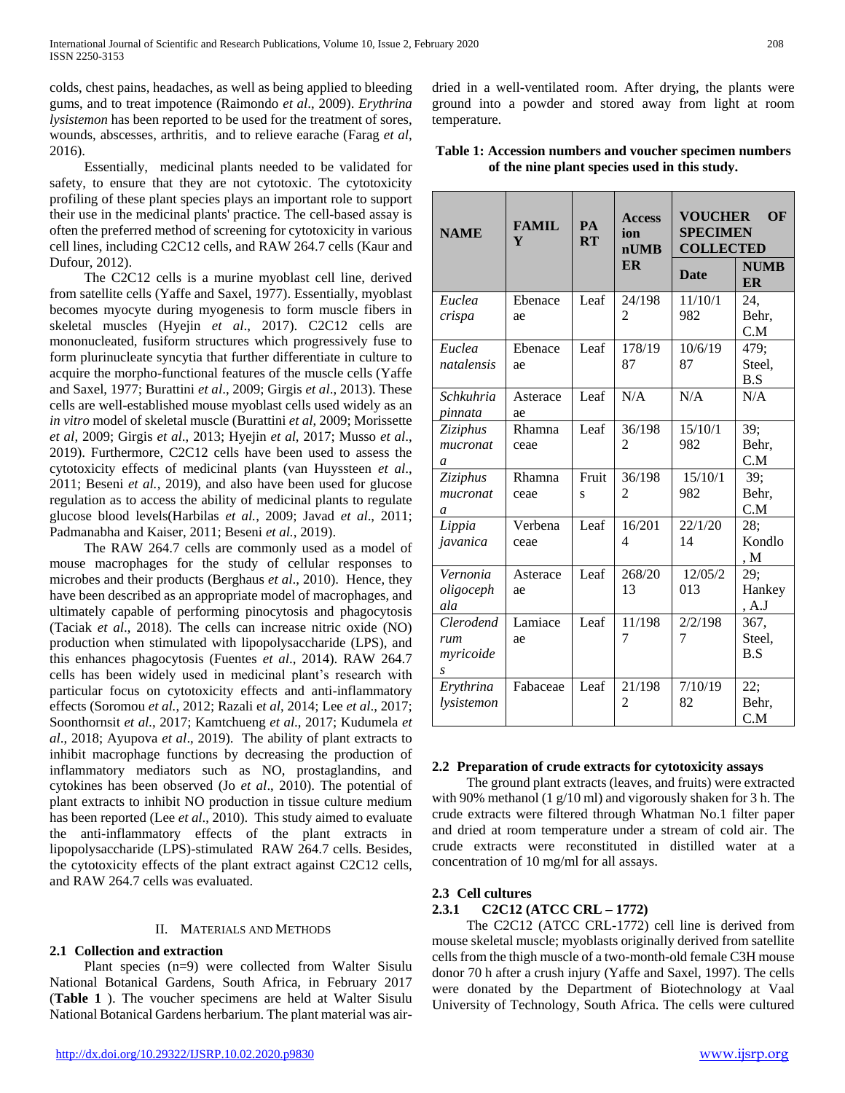colds, chest pains, headaches, as well as being applied to bleeding gums, and to treat impotence (Raimondo *et al*., 2009). *Erythrina lysistemon* has been reported to be used for the treatment of sores, wounds, abscesses, arthritis, and to relieve earache (Farag *et al*, 2016).

 Essentially, medicinal plants needed to be validated for safety, to ensure that they are not cytotoxic. The cytotoxicity profiling of these plant species plays an important role to support their use in the medicinal plants' practice. The cell-based assay is often the preferred method of screening for cytotoxicity in various cell lines, including C2C12 cells, and RAW 264.7 cells (Kaur and Dufour, 2012).

 The C2C12 cells is a murine myoblast cell line, derived from satellite cells (Yaffe and Saxel, 1977). Essentially, myoblast becomes myocyte during myogenesis to form muscle fibers in skeletal muscles (Hyejin *et al*., 2017). C2C12 cells are mononucleated, fusiform structures which progressively fuse to form plurinucleate syncytia that further differentiate in culture to acquire the morpho-functional features of the muscle cells (Yaffe and Saxel, 1977; Burattini *et al*., 2009; Girgis *et al*., 2013). These cells are well-established mouse myoblast cells used widely as an *in vitro* model of skeletal muscle (Burattini *et al*, 2009; Morissette *et al*, 2009; Girgis *et al*., 2013; Hyejin *et al*, 2017; Musso *et al*., 2019). Furthermore, C2C12 cells have been used to assess the cytotoxicity effects of medicinal plants (van Huyssteen *et al*., 2011; Beseni *et al.*, 2019), and also have been used for glucose regulation as to access the ability of medicinal plants to regulate glucose blood levels(Harbilas *et al.*, 2009; Javad *et al*., 2011; Padmanabha and Kaiser, 2011; Beseni *et al.*, 2019).

 The RAW 264.7 cells are commonly used as a model of mouse macrophages for the study of cellular responses to microbes and their products (Berghaus *et al*., 2010). Hence, they have been described as an appropriate model of macrophages, and ultimately capable of performing pinocytosis and phagocytosis (Taciak *et al*., 2018). The cells can increase nitric oxide (NO) production when stimulated with lipopolysaccharide (LPS), and this enhances phagocytosis (Fuentes *et al*., 2014). RAW 264.7 cells has been widely used in medicinal plant's research with particular focus on cytotoxicity effects and anti-inflammatory effects (Soromou *et al.*, 2012; Razali e*t al*, 2014; Lee *et al*., 2017; Soonthornsit *et al.*, 2017; Kamtchueng *et al*., 2017; Kudumela *et al*., 2018; Ayupova *et al*., 2019). The ability of plant extracts to inhibit macrophage functions by decreasing the production of inflammatory mediators such as NO, prostaglandins, and cytokines has been observed (Jo *et al*., 2010). The potential of plant extracts to inhibit NO production in tissue culture medium has been reported (Lee *et al*., 2010). This study aimed to evaluate the anti-inflammatory effects of the plant extracts in lipopolysaccharide (LPS)-stimulated RAW 264.7 cells. Besides, the cytotoxicity effects of the plant extract against C2C12 cells, and RAW 264.7 cells was evaluated.

# II. MATERIALS AND METHODS

# **2.1 Collection and extraction**

 Plant species (n=9) were collected from Walter Sisulu National Botanical Gardens, South Africa, in February 2017 (**Table 1** ). The voucher specimens are held at Walter Sisulu National Botanical Gardens herbarium. The plant material was airdried in a well-ventilated room. After drying, the plants were ground into a powder and stored away from light at room temperature.

| Table 1: Accession numbers and voucher specimen numbers |
|---------------------------------------------------------|
| of the nine plant species used in this study.           |

| <b>NAME</b> | <b>FAMIL</b><br>Y | <b>PA</b><br>RT | <b>Access</b><br>ion<br>nUMB<br><b>ER</b> | <b>VOUCHER</b><br><b>SPECIMEN</b><br><b>COLLECTED</b><br><b>Date</b> | OF<br><b>NUMB</b><br>ER |
|-------------|-------------------|-----------------|-------------------------------------------|----------------------------------------------------------------------|-------------------------|
| Euclea      | Ebenace           | Leaf            | 24/198                                    | 11/10/1                                                              | 24.                     |
| crispa      | ae                |                 | 2                                         | 982                                                                  | Behr,                   |
|             |                   |                 |                                           |                                                                      | C.M                     |
| Euclea      | Ebenace           | Leaf            | 178/19                                    | 10/6/19                                                              | 479;                    |
| natalensis  | ae                |                 | 87                                        | 87                                                                   | Steel,<br>B.S           |
| Schkuhria   | Asterace          | Leaf            | N/A                                       | N/A                                                                  | N/A                     |
| pinnata     | ae                |                 |                                           |                                                                      |                         |
| Ziziphus    | Rhamna            | Leaf            | 36/198                                    | 15/10/1                                                              | 39;                     |
| mucronat    | ceae              |                 | $\mathfrak{D}$                            | 982                                                                  | Behr,                   |
| a           |                   |                 |                                           |                                                                      | C.M                     |
| Ziziphus    | Rhamna            | Fruit           | 36/198                                    | $\frac{1}{15}/10/1$                                                  | 39;                     |
| mucronat    | ceae              | S               | 2                                         | 982                                                                  | Behr.                   |
| a           |                   |                 |                                           |                                                                      | C.M                     |
| Lippia      | Verbena           | Leaf            | 16/201                                    | 22/1/20                                                              | 28;                     |
| javanica    | ceae              |                 | 4                                         | 14                                                                   | Kondlo                  |
|             |                   |                 |                                           |                                                                      | , M                     |
| Vernonia    | Asterace          | Leaf            | 268/20                                    | 12/05/2                                                              | 29;                     |
| oligoceph   | ae                |                 | 13                                        | 013                                                                  | Hankey                  |
| ala         |                   |                 |                                           |                                                                      | , A.J                   |
| Clerodend   | Lamiace           | Leaf            | 11/198                                    | 2/2/198                                                              | 367,                    |
| rum         | ae                |                 | 7                                         | 7                                                                    | Steel,                  |
| myricoide   |                   |                 |                                           |                                                                      | B.S                     |
| S           |                   |                 |                                           |                                                                      |                         |
| Erythrina   | Fabaceae          | Leaf            | 21/198                                    | 7/10/19                                                              | 22:                     |
| lysistemon  |                   |                 | 2                                         | 82                                                                   | Behr,                   |
|             |                   |                 |                                           |                                                                      | C.M                     |

## **2.2 Preparation of crude extracts for cytotoxicity assays**

 The ground plant extracts (leaves, and fruits) were extracted with 90% methanol (1 g/10 ml) and vigorously shaken for 3 h. The crude extracts were filtered through Whatman No.1 filter paper and dried at room temperature under a stream of cold air. The crude extracts were reconstituted in distilled water at a concentration of 10 mg/ml for all assays.

## **2.3 Cell cultures**

## **2.3.1 C2C12 (ATCC CRL – 1772)**

 The C2C12 (ATCC CRL-1772) cell line is derived from mouse skeletal muscle; myoblasts originally derived from satellite cells from the thigh muscle of a two-month-old female C3H mouse donor 70 h after a crush injury (Yaffe and Saxel, 1997). The cells were donated by the Department of Biotechnology at Vaal University of Technology, South Africa. The cells were cultured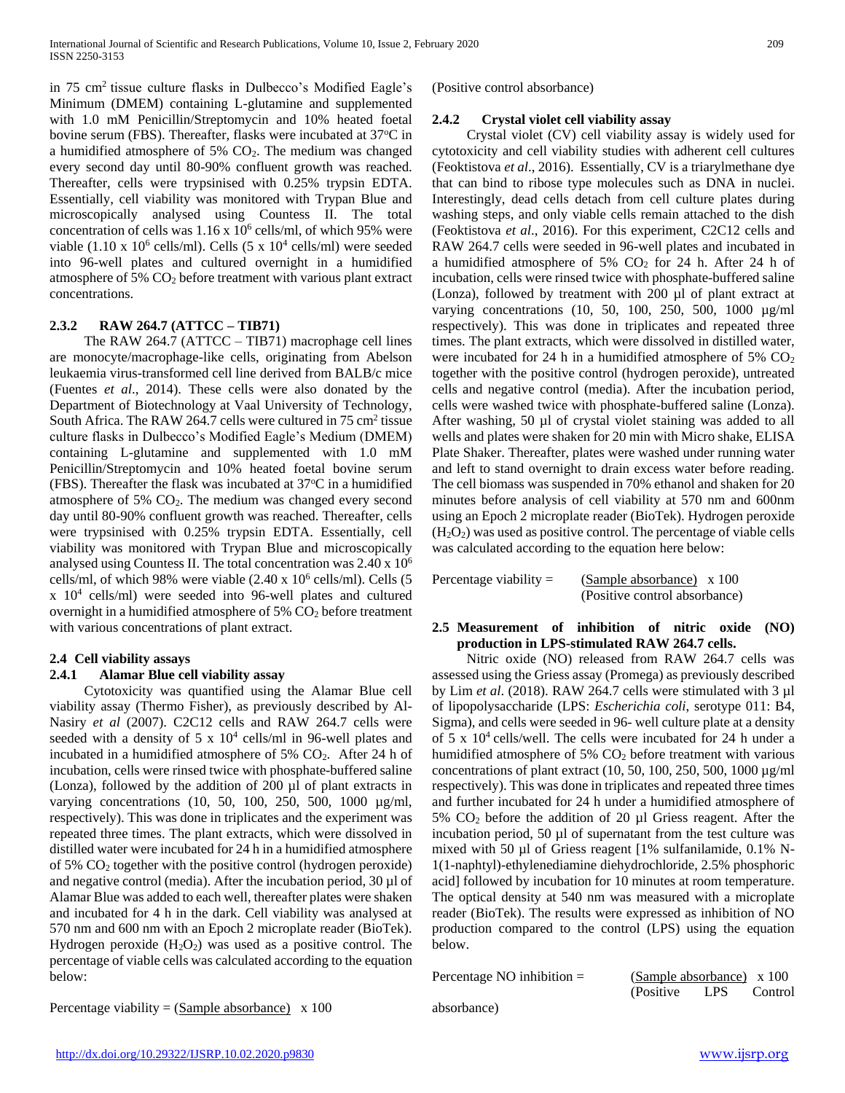in 75 cm<sup>2</sup> tissue culture flasks in Dulbecco's Modified Eagle's Minimum (DMEM) containing L-glutamine and supplemented with 1.0 mM Penicillin/Streptomycin and 10% heated foetal bovine serum (FBS). Thereafter, flasks were incubated at 37°C in a humidified atmosphere of 5% CO2. The medium was changed every second day until 80-90% confluent growth was reached. Thereafter, cells were trypsinised with 0.25% trypsin EDTA. Essentially, cell viability was monitored with Trypan Blue and microscopically analysed using Countess II. The total concentration of cells was  $1.16 \times 10^6$  cells/ml, of which 95% were viable  $(1.10 \times 10^6 \text{ cells/ml})$ . Cells  $(5 \times 10^4 \text{ cells/ml})$  were seeded into 96-well plates and cultured overnight in a humidified atmosphere of 5% CO<sup>2</sup> before treatment with various plant extract concentrations.

## **2.3.2 RAW 264.7 (ATTCC – TIB71)**

 The RAW 264.7 (ATTCC – TIB71) macrophage cell lines are monocyte/macrophage-like cells, originating from Abelson leukaemia virus-transformed cell line derived from BALB/c mice (Fuentes *et al*., 2014). These cells were also donated by the Department of Biotechnology at Vaal University of Technology, South Africa. The RAW 264.7 cells were cultured in 75 cm<sup>2</sup> tissue culture flasks in Dulbecco's Modified Eagle's Medium (DMEM) containing L-glutamine and supplemented with 1.0 mM Penicillin/Streptomycin and 10% heated foetal bovine serum (FBS). Thereafter the flask was incubated at  $37^{\circ}$ C in a humidified atmosphere of 5% CO2. The medium was changed every second day until 80-90% confluent growth was reached. Thereafter, cells were trypsinised with 0.25% trypsin EDTA. Essentially, cell viability was monitored with Trypan Blue and microscopically analysed using Countess II. The total concentration was 2.40 x 10<sup>6</sup> cells/ml, of which 98% were viable  $(2.40 \times 10^6 \text{ cells/ml})$ . Cells  $(5$ x 10<sup>4</sup> cells/ml) were seeded into 96-well plates and cultured overnight in a humidified atmosphere of  $5\%$  CO<sub>2</sub> before treatment with various concentrations of plant extract.

# **2.4 Cell viability assays**

## **2.4.1 Alamar Blue cell viability assay**

 Cytotoxicity was quantified using the Alamar Blue cell viability assay (Thermo Fisher), as previously described by Al-Nasiry *et al* (2007). C2C12 cells and RAW 264.7 cells were seeded with a density of  $5 \times 10^4$  cells/ml in 96-well plates and incubated in a humidified atmosphere of 5%  $CO<sub>2</sub>$ . After 24 h of incubation, cells were rinsed twice with phosphate-buffered saline (Lonza), followed by the addition of 200 µl of plant extracts in varying concentrations (10, 50, 100, 250, 500, 1000 µg/ml, respectively). This was done in triplicates and the experiment was repeated three times. The plant extracts, which were dissolved in distilled water were incubated for 24 h in a humidified atmosphere of 5% CO<sup>2</sup> together with the positive control (hydrogen peroxide) and negative control (media). After the incubation period, 30 µl of Alamar Blue was added to each well, thereafter plates were shaken and incubated for 4 h in the dark. Cell viability was analysed at 570 nm and 600 nm with an Epoch 2 microplate reader (BioTek). Hydrogen peroxide  $(H_2O_2)$  was used as a positive control. The percentage of viable cells was calculated according to the equation below:

Percentage viability =  $(Sample absorbance) \times 100$ 

(Positive control absorbance)

## **2.4.2 Crystal violet cell viability assay**

 Crystal violet (CV) cell viability assay is widely used for cytotoxicity and cell viability studies with adherent cell cultures (Feoktistova *et al*., 2016). Essentially, CV is a triarylmethane dye that can bind to ribose type molecules such as DNA in nuclei. Interestingly, dead cells detach from cell culture plates during washing steps, and only viable cells remain attached to the dish (Feoktistova *et al*., 2016). For this experiment, C2C12 cells and RAW 264.7 cells were seeded in 96-well plates and incubated in a humidified atmosphere of 5%  $CO<sub>2</sub>$  for 24 h. After 24 h of incubation, cells were rinsed twice with phosphate-buffered saline (Lonza), followed by treatment with 200 µl of plant extract at varying concentrations (10, 50, 100, 250, 500, 1000 µg/ml respectively). This was done in triplicates and repeated three times. The plant extracts, which were dissolved in distilled water, were incubated for 24 h in a humidified atmosphere of 5%  $CO<sub>2</sub>$ together with the positive control (hydrogen peroxide), untreated cells and negative control (media). After the incubation period, cells were washed twice with phosphate-buffered saline (Lonza). After washing, 50 µl of crystal violet staining was added to all wells and plates were shaken for 20 min with Micro shake, ELISA Plate Shaker. Thereafter, plates were washed under running water and left to stand overnight to drain excess water before reading. The cell biomass was suspended in 70% ethanol and shaken for 20 minutes before analysis of cell viability at 570 nm and 600nm using an Epoch 2 microplate reader (BioTek). Hydrogen peroxide  $(H<sub>2</sub>O<sub>2</sub>)$  was used as positive control. The percentage of viable cells was calculated according to the equation here below:

Percentage viability =  $(Sample absorbance) \times 100$ (Positive control absorbance)

## **2.5 Measurement of inhibition of nitric oxide (NO) production in LPS-stimulated RAW 264.7 cells.**

 Nitric oxide (NO) released from RAW 264.7 cells was assessed using the Griess assay (Promega) as previously described by Lim *et al*. (2018). RAW 264.7 cells were stimulated with 3 µl of lipopolysaccharide (LPS: *Escherichia coli*, serotype 011: B4, Sigma), and cells were seeded in 96- well culture plate at a density of 5 x  $10^4$  cells/well. The cells were incubated for 24 h under a humidified atmosphere of  $5\%$  CO<sub>2</sub> before treatment with various concentrations of plant extract (10, 50, 100, 250, 500, 1000 µg/ml respectively). This was done in triplicates and repeated three times and further incubated for 24 h under a humidified atmosphere of 5% CO<sup>2</sup> before the addition of 20 µl Griess reagent. After the incubation period, 50 µl of supernatant from the test culture was mixed with 50 µl of Griess reagent [1% sulfanilamide, 0.1% N-1(1-naphtyl)-ethylenediamine diehydrochloride, 2.5% phosphoric acid] followed by incubation for 10 minutes at room temperature. The optical density at 540 nm was measured with a microplate reader (BioTek). The results were expressed as inhibition of NO production compared to the control (LPS) using the equation below.

| Percentage NO inhibition $=$ | (Sample absorbance) $\times 100$ |       |         |
|------------------------------|----------------------------------|-------|---------|
|                              | (Positive)                       | LPS – | Control |

absorbance)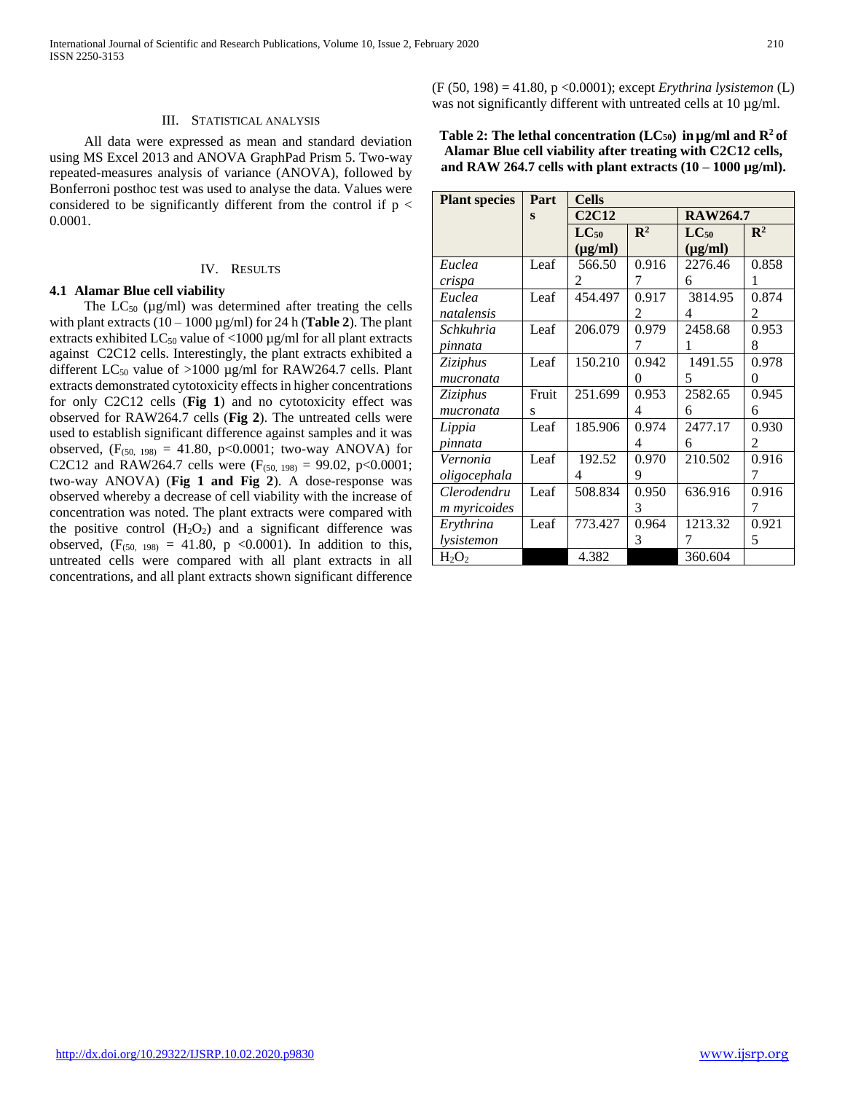#### III. STATISTICAL ANALYSIS

 All data were expressed as mean and standard deviation using MS Excel 2013 and ANOVA GraphPad Prism 5. Two-way repeated-measures analysis of variance (ANOVA), followed by Bonferroni posthoc test was used to analyse the data. Values were considered to be significantly different from the control if  $p <$ 0.0001.

#### IV. RESULTS

#### **4.1 Alamar Blue cell viability**

The  $LC_{50}$  ( $\mu$ g/ml) was determined after treating the cells with plant extracts  $(10 - 1000 \,\mu\text{g/ml})$  for 24 h (**Table 2**). The plant extracts exhibited  $LC_{50}$  value of <1000  $\mu$ g/ml for all plant extracts against C2C12 cells. Interestingly, the plant extracts exhibited a different  $LC_{50}$  value of >1000 µg/ml for RAW264.7 cells. Plant extracts demonstrated cytotoxicity effects in higher concentrations for only C2C12 cells (**Fig 1**) and no cytotoxicity effect was observed for RAW264.7 cells (**Fig 2**). The untreated cells were used to establish significant difference against samples and it was observed,  $(F_{(50, 198)} = 41.80, p<0.0001$ ; two-way ANOVA) for C2C12 and RAW264.7 cells were  $(F<sub>(50, 198)</sub> = 99.02, p<0.0001;$ two-way ANOVA) (**Fig 1 and Fig 2**). A dose-response was observed whereby a decrease of cell viability with the increase of concentration was noted. The plant extracts were compared with the positive control  $(H_2O_2)$  and a significant difference was observed,  $(F_{(50, 198)} = 41.80, p \le 0.0001)$ . In addition to this, untreated cells were compared with all plant extracts in all concentrations, and all plant extracts shown significant difference

(F (50, 198) = 41.80, p <0.0001); except *Erythrina lysistemon* (L) was not significantly different with untreated cells at 10  $\mu$ g/ml.

| Table 2: The lethal concentration (LC <sub>50</sub> ) in $\mu$ g/ml and R <sup>2</sup> of |  |
|-------------------------------------------------------------------------------------------|--|
| Alamar Blue cell viability after treating with C2C12 cells,                               |  |
| and RAW 264.7 cells with plant extracts $(10 - 1000 \mu g/ml)$ .                          |  |

| <b>Plant species</b> | Part     | <b>Cells</b> |                |                 |                |
|----------------------|----------|--------------|----------------|-----------------|----------------|
|                      | $\bf{s}$ | <b>C2C12</b> |                | <b>RAW264.7</b> |                |
|                      |          | $LC_{50}$    | $\mathbb{R}^2$ | $LC_{50}$       | $\mathbb{R}^2$ |
|                      |          | $(\mu g/ml)$ |                | $(\mu g/ml)$    |                |
| Euclea               | Leaf     | 566.50       | 0.916          | 2276.46         | 0.858          |
| crispa               |          | 2            | 7              | 6               | 1              |
| Euclea               | Leaf     | 454.497      | 0.917          | 3814.95         | 0.874          |
| natalensis           |          |              | 2              | 4               | 2              |
| Schkuhria            | Leaf     | 206.079      | 0.979          | 2458.68         | 0.953          |
| pinnata              |          |              | 7              | 1               | 8              |
| Ziziphus             | Leaf     | 150.210      | 0.942          | 1491.55         | 0.978          |
| mucronata            |          |              | 0              | 5               | 0              |
| Ziziphus             | Fruit    | 251.699      | 0.953          | 2582.65         | 0.945          |
| mucronata            | s        |              | 4              | 6               | 6              |
| Lippia               | Leaf     | 185.906      | 0.974          | 2477.17         | 0.930          |
| pinnata              |          |              | 4              | 6               | 2              |
| Vernonia             | Leaf     | 192.52       | 0.970          | 210.502         | 0.916          |
| oligocephala         |          | 4            | 9              |                 | 7              |
| Clerodendru          | Leaf     | 508.834      | 0.950          | 636.916         | 0.916          |
| m myricoides         |          |              | 3              |                 | 7              |
| Erythrina            | Leaf     | 773.427      | 0.964          | 1213.32         | 0.921          |
| lysistemon           |          |              | 3              | 7               | 5              |
| $H_2O_2$             |          | 4.382        |                | 360.604         |                |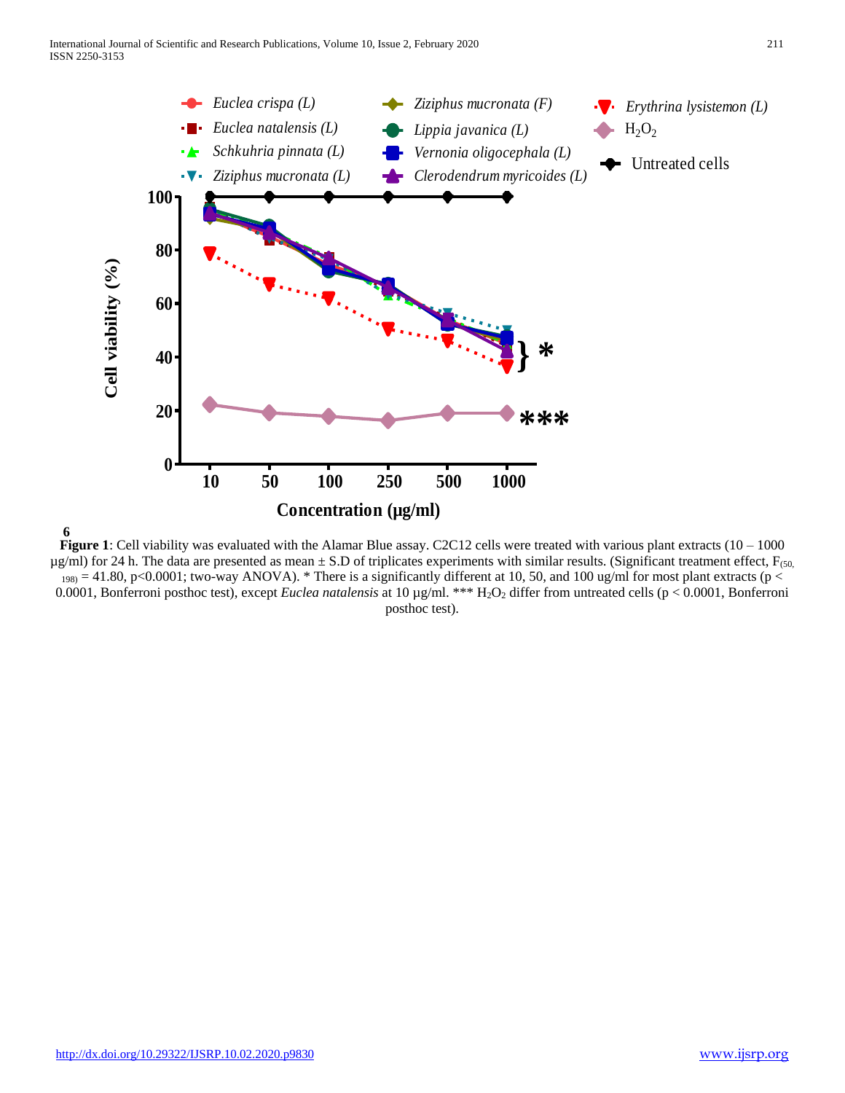

**6 Figure 1**: Cell viability was evaluated with the Alamar Blue assay. C2C12 cells were treated with various plant extracts  $(10 - 1000$  $\mu$ g/ml) for 24 h. The data are presented as mean  $\pm$  S.D of triplicates experiments with similar results. (Significant treatment effect, F<sub>(50,</sub>  $_{198}$  = 41.80, p<0.0001; two-way ANOVA). \* There is a significantly different at 10, 50, and 100 ug/ml for most plant extracts (p < 0.0001, Bonferroni posthoc test), except *Euclea natalensis* at 10 µg/ml. \*\*\* H2O<sup>2</sup> differ from untreated cells (p < 0.0001, Bonferroni posthoc test).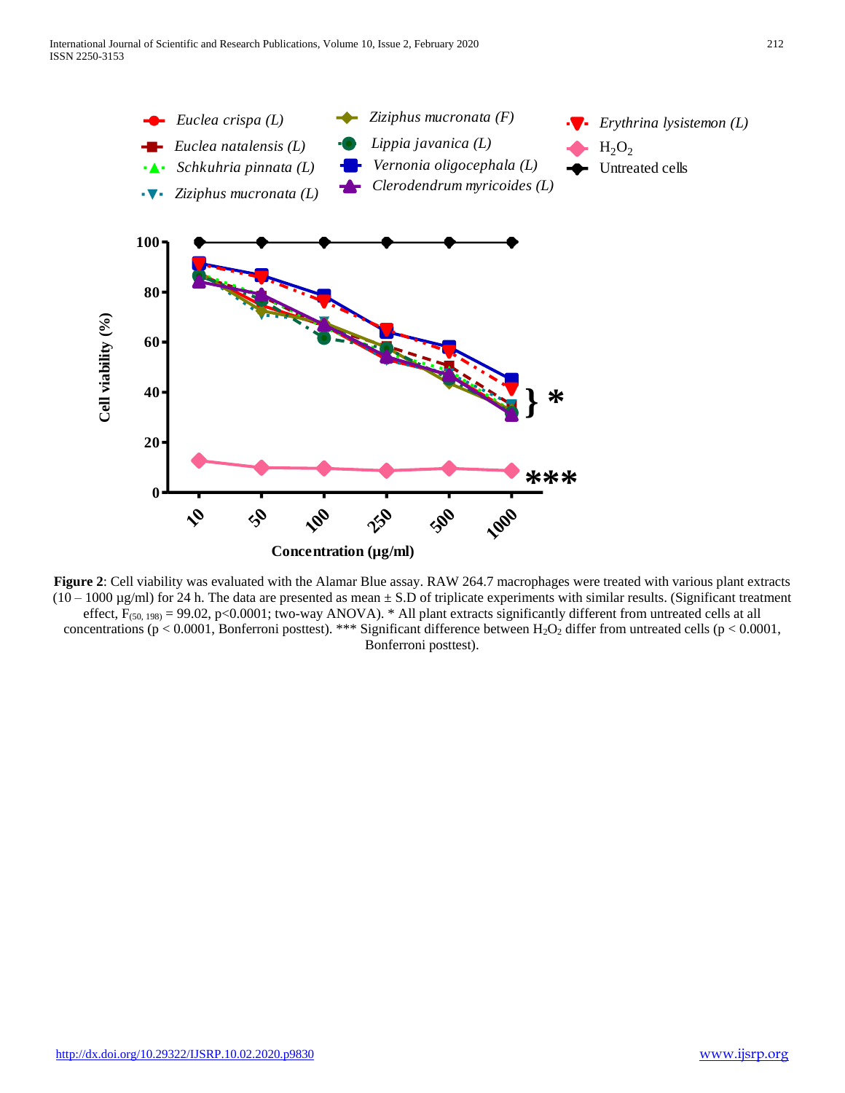

**Figure 2**: Cell viability was evaluated with the Alamar Blue assay. RAW 264.7 macrophages were treated with various plant extracts  $(10 - 1000 \,\mu\text{g/ml})$  for 24 h. The data are presented as mean  $\pm$  S.D of triplicate experiments with similar results. (Significant treatment effect,  $F_{(50, 198)} = 99.02$ , p<0.0001; two-way ANOVA). \* All plant extracts significantly different from untreated cells at all concentrations (p < 0.0001, Bonferroni posttest). \*\*\* Significant difference between  $H_2O_2$  differ from untreated cells (p < 0.0001, Bonferroni posttest).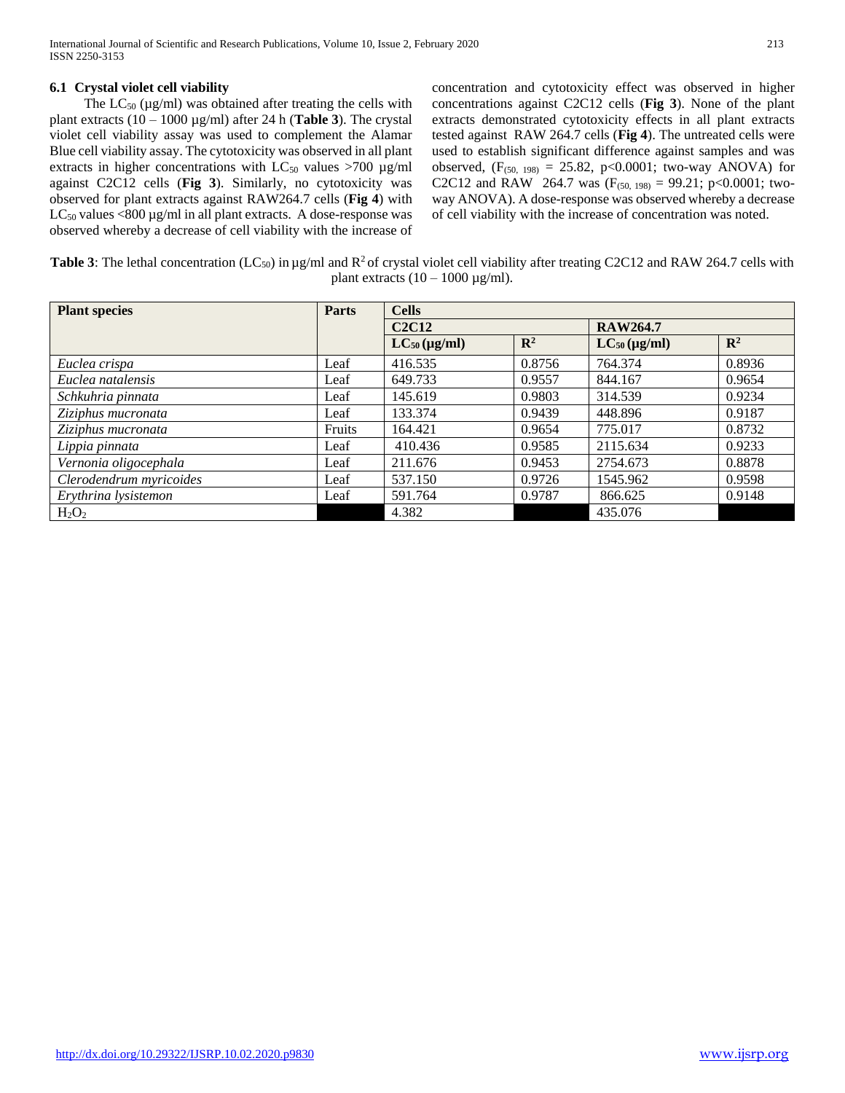# **6.1 Crystal violet cell viability**

The  $LC_{50}$  ( $\mu$ g/ml) was obtained after treating the cells with plant extracts (10 – 1000 µg/ml) after 24 h (**Table 3**). The crystal violet cell viability assay was used to complement the Alamar Blue cell viability assay. The cytotoxicity was observed in all plant extracts in higher concentrations with  $LC_{50}$  values >700  $\mu$ g/ml against C2C12 cells (**Fig 3**). Similarly, no cytotoxicity was observed for plant extracts against RAW264.7 cells (**Fig 4**) with  $LC_{50}$  values <800 µg/ml in all plant extracts. A dose-response was observed whereby a decrease of cell viability with the increase of concentration and cytotoxicity effect was observed in higher concentrations against C2C12 cells (**Fig 3**). None of the plant extracts demonstrated cytotoxicity effects in all plant extracts tested against RAW 264.7 cells (**Fig 4**). The untreated cells were used to establish significant difference against samples and was observed,  $(F_{(50, 198)} = 25.82, p<0.0001$ ; two-way ANOVA) for C2C12 and RAW 264.7 was  $(F_{(50, 198)} = 99.21$ ; p<0.0001; twoway ANOVA). A dose-response was observed whereby a decrease of cell viability with the increase of concentration was noted.

| <b>Table 3:</b> The lethal concentration (LC <sub>50</sub> ) in $\mu$ g/ml and R <sup>2</sup> of crystal violet cell viability after treating C2C12 and RAW 264.7 cells with |  |
|------------------------------------------------------------------------------------------------------------------------------------------------------------------------------|--|
| plant extracts $(10 - 1000 \,\mu\text{g/ml})$ .                                                                                                                              |  |

| <b>Plant species</b>    | Parts  | <b>Cells</b>      |                |                   |                |  |
|-------------------------|--------|-------------------|----------------|-------------------|----------------|--|
|                         |        | <b>C2C12</b>      |                | <b>RAW264.7</b>   |                |  |
|                         |        | $LC_{50}$ (µg/ml) | $\mathbb{R}^2$ | $LC_{50}$ (µg/ml) | $\mathbb{R}^2$ |  |
| Euclea crispa           | Leaf   | 416.535           | 0.8756         | 764.374           | 0.8936         |  |
| Euclea natalensis       | Leaf   | 649.733           | 0.9557         | 844.167           | 0.9654         |  |
| Schkuhria pinnata       | Leaf   | 145.619           | 0.9803         | 314.539           | 0.9234         |  |
| Ziziphus mucronata      | Leaf   | 133.374           | 0.9439         | 448.896           | 0.9187         |  |
| Ziziphus mucronata      | Fruits | 164.421           | 0.9654         | 775.017           | 0.8732         |  |
| Lippia pinnata          | Leaf   | 410.436           | 0.9585         | 2115.634          | 0.9233         |  |
| Vernonia oligocephala   | Leaf   | 211.676           | 0.9453         | 2754.673          | 0.8878         |  |
| Clerodendrum myricoides | Leaf   | 537.150           | 0.9726         | 1545.962          | 0.9598         |  |
| Erythrina lysistemon    | Leaf   | 591.764           | 0.9787         | 866.625           | 0.9148         |  |
| $H_2O_2$                |        | 4.382             |                | 435.076           |                |  |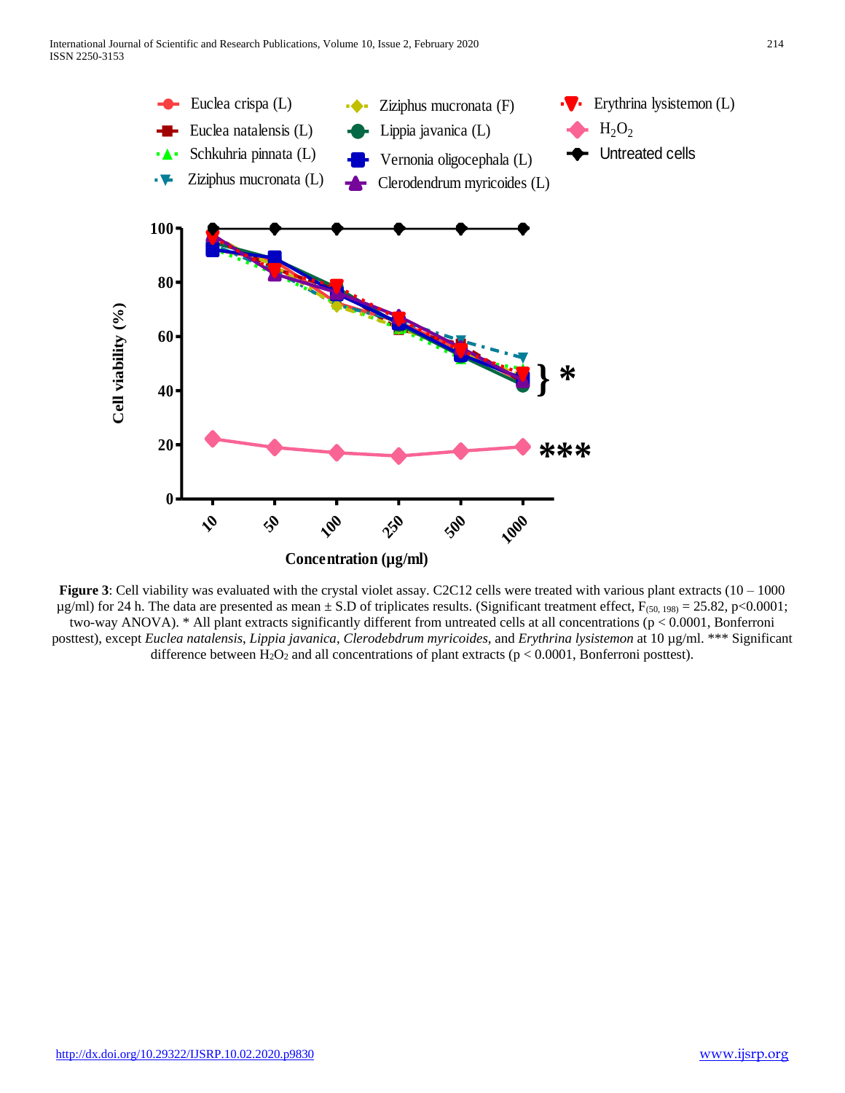

Figure 3: Cell viability was evaluated with the crystal violet assay. C2C12 cells were treated with various plant extracts (10 – 1000  $\mu$ g/ml) for 24 h. The data are presented as mean  $\pm$  S.D of triplicates results. (Significant treatment effect, F<sub>(50, 198)</sub> = 25.82, p<0.0001; two-way ANOVA). \* All plant extracts significantly different from untreated cells at all concentrations (p < 0.0001, Bonferroni posttest), except *Euclea natalensis*, *Lippia javanica*, *Clerodebdrum myricoides*, and *Erythrina lysistemon* at 10 µg/ml. \*\*\* Significant difference between  $H_2O_2$  and all concentrations of plant extracts ( $p < 0.0001$ , Bonferroni posttest).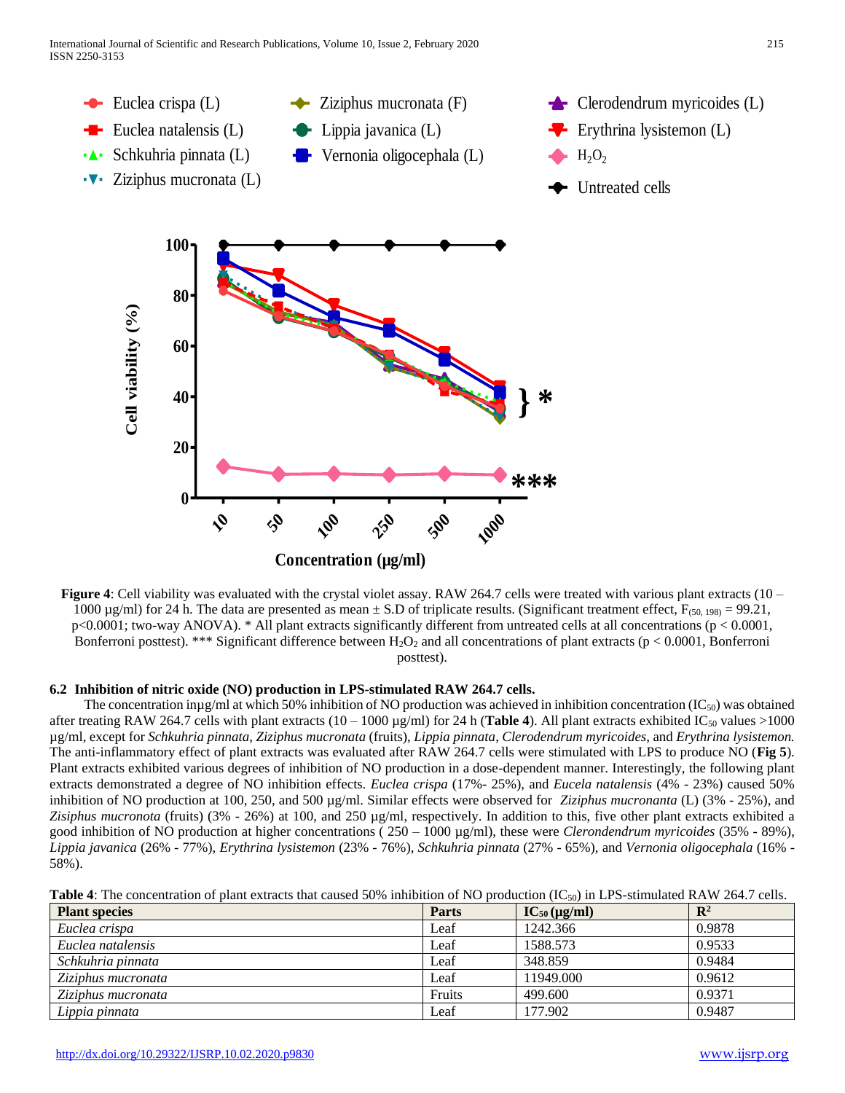

**Figure 4**: Cell viability was evaluated with the crystal violet assay. RAW 264.7 cells were treated with various plant extracts (10 – 1000  $\mu$ g/ml) for 24 h. The data are presented as mean  $\pm$  S.D of triplicate results. (Significant treatment effect, F<sub>(50, 198)</sub> = 99.21,  $p<0.0001$ ; two-way ANOVA). \* All plant extracts significantly different from untreated cells at all concentrations ( $p < 0.0001$ , Bonferroni posttest). \*\*\* Significant difference between  $H_2O_2$  and all concentrations of plant extracts (p < 0.0001, Bonferroni posttest).

# **6.2 Inhibition of nitric oxide (NO) production in LPS-stimulated RAW 264.7 cells.**

The concentration in $\mu$ g/ml at which 50% inhibition of NO production was achieved in inhibition concentration (IC<sub>50</sub>) was obtained after treating RAW 264.7 cells with plant extracts  $(10 - 1000 \,\text{kg/ml})$  for 24 h (**Table 4**). All plant extracts exhibited IC<sub>50</sub> values >1000 µg/ml, except for *Schkuhria pinnata*, *Ziziphus mucronata* (fruits), *Lippia pinnata*, *Clerodendrum myricoides*, and *Erythrina lysistemon.* The anti-inflammatory effect of plant extracts was evaluated after RAW 264.7 cells were stimulated with LPS to produce NO (**Fig 5**). Plant extracts exhibited various degrees of inhibition of NO production in a dose-dependent manner. Interestingly, the following plant extracts demonstrated a degree of NO inhibition effects. *Euclea crispa* (17%- 25%), and *Eucela natalensis* (4% - 23%) caused 50% inhibition of NO production at 100, 250, and 500 µg/ml. Similar effects were observed for *Ziziphus mucronanta* (L) (3% - 25%), and *Zisiphus mucronota* (fruits) (3% - 26%) at 100, and 250 µg/ml, respectively. In addition to this, five other plant extracts exhibited a good inhibition of NO production at higher concentrations ( 250 – 1000 µg/ml), these were *Clerondendrum myricoides* (35% - 89%), *Lippia javanica* (26% - 77%), *Erythrina lysistemon* (23% - 76%), *Schkuhria pinnata* (27% - 65%), and *Vernonia oligocephala* (16% - 58%).

| <b>Table 4:</b> The concentration of plant extracts that caused 50% inhibition of NO production $(IC_{50})$ in LPS-stimulated RAW 264.7 cells. |  |
|------------------------------------------------------------------------------------------------------------------------------------------------|--|
|------------------------------------------------------------------------------------------------------------------------------------------------|--|

| <b>Plant species</b> | <b>Parts</b> | $IC_{50} (\mu g/ml)$ | $\mathbf{R}^2$ |
|----------------------|--------------|----------------------|----------------|
| Euclea crispa        | Leaf         | 1242.366             | 0.9878         |
| Euclea natalensis    | Leaf         | 1588.573             | 0.9533         |
| Schkuhria pinnata    | Leaf         | 348.859              | 0.9484         |
| Ziziphus mucronata   | Leaf         | 11949.000            | 0.9612         |
| Ziziphus mucronata   | Fruits       | 499,600              | 0.9371         |
| Lippia pinnata       | Leaf         | 177.902              | 0.9487         |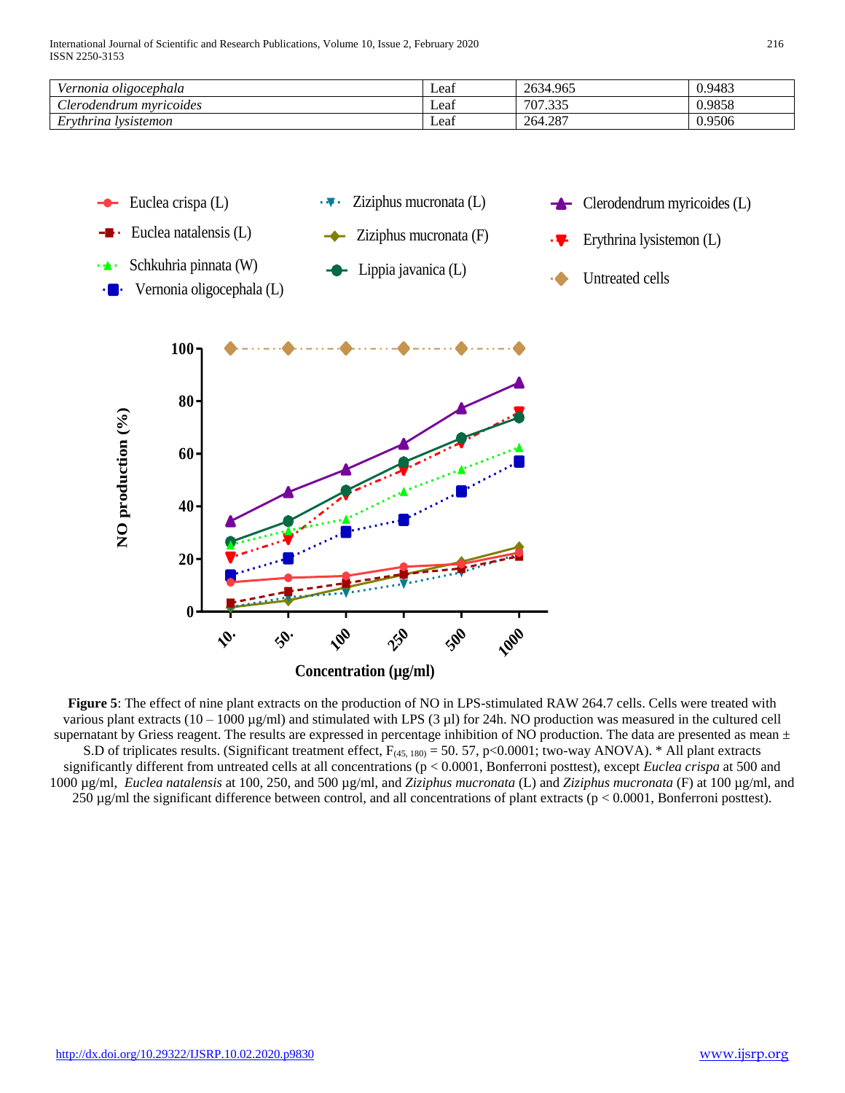| √ernonia oligocephala            | Leaf | 2634.965            | 0.9483 |
|----------------------------------|------|---------------------|--------|
| $\sim$<br>Aerodendrum mvricoides | Leat | $\Omega$<br>707<br> | 0.9858 |
| ∽<br>lysistemon<br>Ervthrina     | Leaf | 264.287             | 0.9506 |



**Figure 5**: The effect of nine plant extracts on the production of NO in LPS-stimulated RAW 264.7 cells. Cells were treated with various plant extracts (10 – 1000  $\mu$ g/ml) and stimulated with LPS (3  $\mu$ l) for 24h. NO production was measured in the cultured cell supernatant by Griess reagent. The results are expressed in percentage inhibition of NO production. The data are presented as mean  $\pm$ S.D of triplicates results. (Significant treatment effect,  $F_{(45, 180)} = 50.57$ , p<0.0001; two-way ANOVA). \* All plant extracts significantly different from untreated cells at all concentrations (p < 0.0001, Bonferroni posttest), except *Euclea crispa* at 500 and 1000 µg/ml, *Euclea natalensis* at 100, 250, and 500 µg/ml, and *Ziziphus mucronata* (L) and *Ziziphus mucronata* (F) at 100 µg/ml, and 250 µg/ml the significant difference between control, and all concentrations of plant extracts (p < 0.0001, Bonferroni posttest).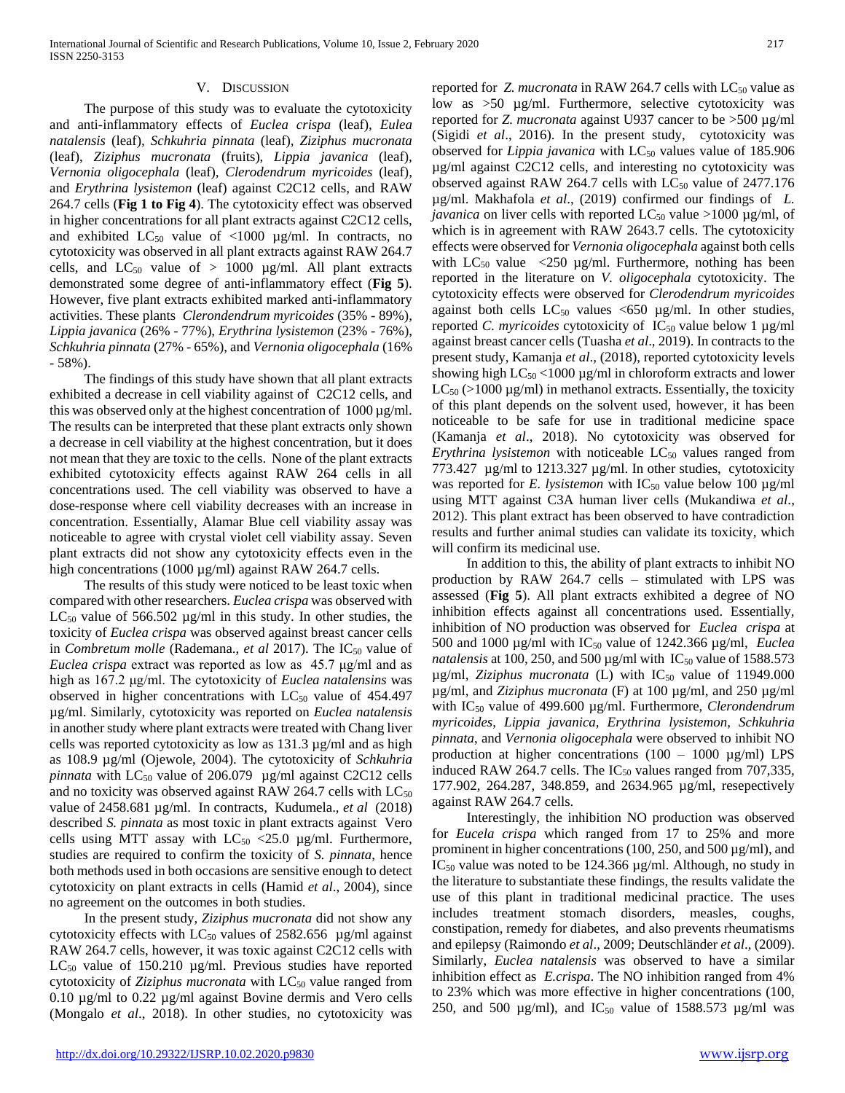#### V. DISCUSSION

 The purpose of this study was to evaluate the cytotoxicity and anti-inflammatory effects of *Euclea crispa* (leaf)*, Eulea natalensis* (leaf)*, Schkuhria pinnata* (leaf)*, Ziziphus mucronata*  (leaf), *Ziziphus mucronata* (fruits), *Lippia javanica* (leaf)*, Vernonia oligocephala* (leaf)*, Clerodendrum myricoides* (leaf)*,*  and *Erythrina lysistemon* (leaf) against C2C12 cells, and RAW 264.7 cells (**Fig 1 to Fig 4**). The cytotoxicity effect was observed in higher concentrations for all plant extracts against C2C12 cells, and exhibited  $LC_{50}$  value of <1000 µg/ml. In contracts, no cytotoxicity was observed in all plant extracts against RAW 264.7 cells, and  $LC_{50}$  value of  $> 1000$   $\mu$ g/ml. All plant extracts demonstrated some degree of anti-inflammatory effect (**Fig 5**). However, five plant extracts exhibited marked anti-inflammatory activities. These plants *Clerondendrum myricoides* (35% - 89%), *Lippia javanica* (26% - 77%), *Erythrina lysistemon* (23% - 76%), *Schkuhria pinnata* (27% - 65%), and *Vernonia oligocephala* (16% - 58%).

 The findings of this study have shown that all plant extracts exhibited a decrease in cell viability against of C2C12 cells, and this was observed only at the highest concentration of 1000 µg/ml. The results can be interpreted that these plant extracts only shown a decrease in cell viability at the highest concentration, but it does not mean that they are toxic to the cells. None of the plant extracts exhibited cytotoxicity effects against RAW 264 cells in all concentrations used. The cell viability was observed to have a dose-response where cell viability decreases with an increase in concentration. Essentially, Alamar Blue cell viability assay was noticeable to agree with crystal violet cell viability assay. Seven plant extracts did not show any cytotoxicity effects even in the high concentrations (1000 µg/ml) against RAW 264.7 cells.

 The results of this study were noticed to be least toxic when compared with other researchers. *Euclea crispa* was observed with  $LC_{50}$  value of 566.502  $\mu$ g/ml in this study. In other studies, the toxicity of *Euclea crispa* was observed against breast cancer cells in *Combretum molle* (Rademana., *et al* 2017). The IC<sub>50</sub> value of *Euclea crispa* extract was reported as low as 45.7 μg/ml and as high as 167.2 μg/ml. The cytotoxicity of *Euclea natalensins* was observed in higher concentrations with  $LC_{50}$  value of 454.497 µg/ml. Similarly, cytotoxicity was reported on *Euclea natalensis* in another study where plant extracts were treated with Chang liver cells was reported cytotoxicity as low as 131.3 µg/ml and as high as 108.9 µg/ml (Ojewole, 2004). The cytotoxicity of *Schkuhria pinnata* with  $LC_{50}$  value of 206.079  $\mu$ g/ml against C2C12 cells and no toxicity was observed against RAW 264.7 cells with  $LC_{50}$ value of 2458.681 µg/ml. In contracts, Kudumela., *et al* (2018) described *S. pinnata* as most toxic in plant extracts against Vero cells using MTT assay with  $LC_{50}$  <25.0 µg/ml. Furthermore, studies are required to confirm the toxicity of *S. pinnata*, hence both methods used in both occasions are sensitive enough to detect cytotoxicity on plant extracts in cells (Hamid *et al*., 2004), since no agreement on the outcomes in both studies.

 In the present study, *Ziziphus mucronata* did not show any cytotoxicity effects with  $LC_{50}$  values of 2582.656  $\mu$ g/ml against RAW 264.7 cells, however, it was toxic against C2C12 cells with  $LC_{50}$  value of 150.210  $\mu$ g/ml. Previous studies have reported cytotoxicity of *Ziziphus mucronata* with LC<sub>50</sub> value ranged from 0.10 µg/ml to 0.22 µg/ml against Bovine dermis and Vero cells (Mongalo *et al*., 2018). In other studies, no cytotoxicity was

reported for *Z. mucronata* in RAW 264.7 cells with LC<sub>50</sub> value as low as >50 µg/ml. Furthermore, selective cytotoxicity was reported for *Z. mucronata* against U937 cancer to be >500 µg/ml (Sigidi *et al*., 2016). In the present study, cytotoxicity was observed for *Lippia javanica* with LC<sub>50</sub> values value of 185.906 µg/ml against C2C12 cells, and interesting no cytotoxicity was observed against RAW 264.7 cells with  $LC_{50}$  value of 2477.176 µg/ml. Makhafola *et al*., (2019) confirmed our findings of *L. javanica* on liver cells with reported  $LC_{50}$  value >1000  $\mu$ g/ml, of which is in agreement with RAW 2643.7 cells. The cytotoxicity effects were observed for *Vernonia oligocephala* against both cells with  $LC_{50}$  value  $\langle 250 \text{ µg/ml}$ . Furthermore, nothing has been reported in the literature on *V. oligocephala* cytotoxicity. The cytotoxicity effects were observed for *Clerodendrum myricoides*  against both cells  $LC_{50}$  values <650 µg/ml. In other studies, reported *C. myricoides* cytotoxicity of IC<sub>50</sub> value below 1 µg/ml against breast cancer cells (Tuasha *et al*., 2019). In contracts to the present study, Kamanja *et al*., (2018), reported cytotoxicity levels showing high  $LC_{50}$  <1000 µg/ml in chloroform extracts and lower  $LC_{50}$  (>1000 µg/ml) in methanol extracts. Essentially, the toxicity of this plant depends on the solvent used, however, it has been noticeable to be safe for use in traditional medicine space (Kamanja *et al*., 2018). No cytotoxicity was observed for *Erythrina lysistemon* with noticeable LC<sub>50</sub> values ranged from 773.427 µg/ml to 1213.327 µg/ml. In other studies, cytotoxicity was reported for *E. lysistemon* with IC<sub>50</sub> value below 100  $\mu$ g/ml using MTT against C3A human liver cells (Mukandiwa *et al*., 2012). This plant extract has been observed to have contradiction results and further animal studies can validate its toxicity, which will confirm its medicinal use.

 In addition to this, the ability of plant extracts to inhibit NO production by RAW 264.7 cells – stimulated with LPS was assessed (**Fig 5**). All plant extracts exhibited a degree of NO inhibition effects against all concentrations used. Essentially, inhibition of NO production was observed for *Euclea crispa* at 500 and 1000 µg/ml with IC<sup>50</sup> value of 1242.366 µg/ml, *Euclea natalensis* at 100, 250, and 500  $\mu$ g/ml with IC<sub>50</sub> value of 1588.573 µg/ml, *Ziziphus mucronata* (L) with IC<sub>50</sub> value of 11949.000 µg/ml, and *Ziziphus mucronata* (F) at 100 µg/ml, and 250 µg/ml with IC<sub>50</sub> value of 499.600 µg/ml. Furthermore, *Clerondendrum myricoides*, *Lippia javanica, Erythrina lysistemon*, *Schkuhria pinnata*, and *Vernonia oligocephala* were observed to inhibit NO production at higher concentrations  $(100 - 1000 \text{ µg/ml})$  LPS induced RAW 264.7 cells. The  $IC_{50}$  values ranged from 707,335, 177.902, 264.287, 348.859, and 2634.965 µg/ml, resepectively against RAW 264.7 cells.

 Interestingly, the inhibition NO production was observed for *Eucela crispa* which ranged from 17 to 25% and more prominent in higher concentrations (100, 250, and 500 µg/ml), and IC<sup>50</sup> value was noted to be 124.366 µg/ml. Although, no study in the literature to substantiate these findings, the results validate the use of this plant in traditional medicinal practice. The uses includes treatment stomach disorders, measles, coughs, constipation, remedy for diabetes, and also prevents rheumatisms and epilepsy (Raimondo *et al*., 2009; Deutschländer *et al*., (2009). Similarly, *Euclea natalensis* was observed to have a similar inhibition effect as *E.crispa*. The NO inhibition ranged from 4% to 23% which was more effective in higher concentrations (100, 250, and 500  $\mu$ g/ml), and IC<sub>50</sub> value of 1588.573  $\mu$ g/ml was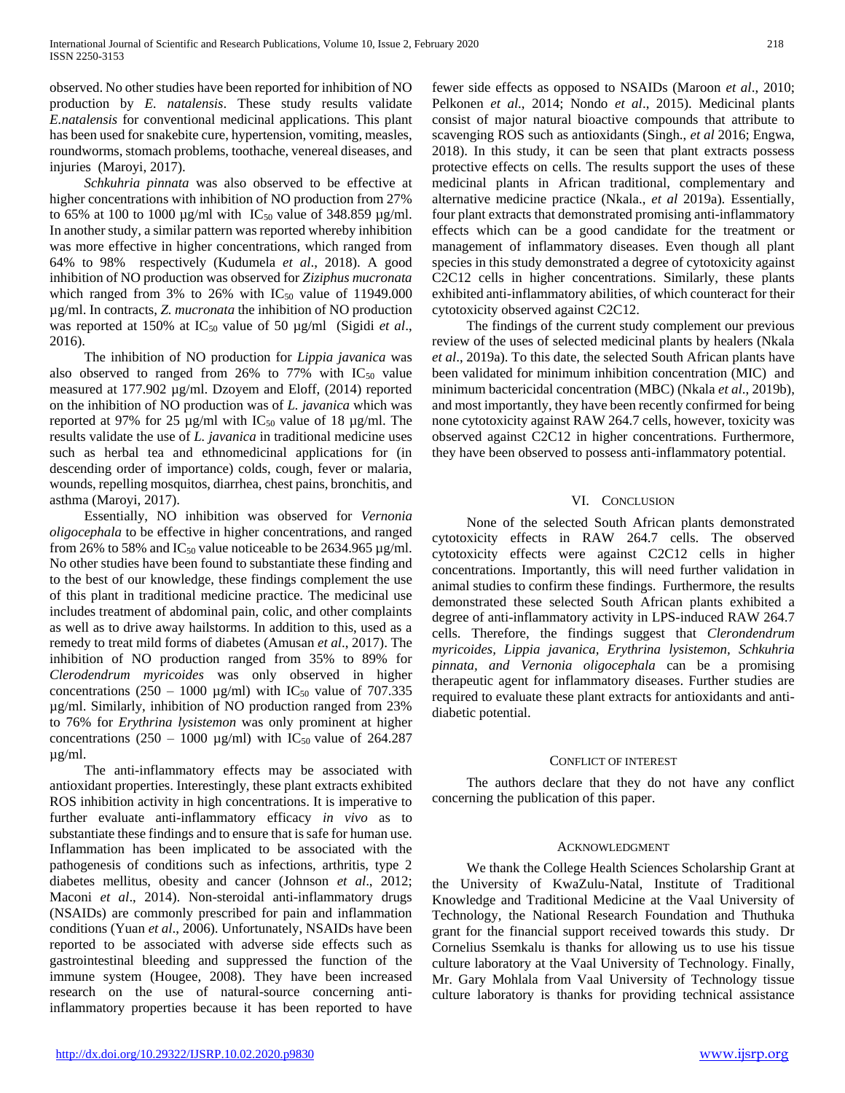observed. No other studies have been reported for inhibition of NO production by *E. natalensis*. These study results validate *E.natalensis* for conventional medicinal applications. This plant has been used for snakebite cure, hypertension, vomiting, measles, roundworms, stomach problems, toothache, venereal diseases, and injuries (Maroyi, 2017).

 *Schkuhria pinnata* was also observed to be effective at higher concentrations with inhibition of NO production from 27% to 65% at 100 to 1000  $\mu$ g/ml with IC<sub>50</sub> value of 348.859  $\mu$ g/ml. In another study, a similar pattern was reported whereby inhibition was more effective in higher concentrations, which ranged from 64% to 98% respectively (Kudumela *et al*., 2018). A good inhibition of NO production was observed for *Ziziphus mucronata*  which ranged from 3% to 26% with  $IC_{50}$  value of 11949.000 µg/ml. In contracts, *Z. mucronata* the inhibition of NO production was reported at 150% at IC<sub>50</sub> value of 50 µg/ml (Sigidi *et al.*, 2016).

 The inhibition of NO production for *Lippia javanica* was also observed to ranged from 26% to 77% with  $IC_{50}$  value measured at 177.902 µg/ml. Dzoyem and Eloff, (2014) reported on the inhibition of NO production was of *L. javanica* which was reported at 97% for 25  $\mu$ g/ml with IC<sub>50</sub> value of 18  $\mu$ g/ml. The results validate the use of *L. javanica* in traditional medicine uses such as herbal tea and ethnomedicinal applications for (in descending order of importance) colds, cough, fever or malaria, wounds, repelling mosquitos, diarrhea, chest pains, bronchitis, and asthma (Maroyi, 2017).

 Essentially, NO inhibition was observed for *Vernonia oligocephala* to be effective in higher concentrations, and ranged from 26% to 58% and  $IC_{50}$  value noticeable to be 2634.965  $\mu$ g/ml. No other studies have been found to substantiate these finding and to the best of our knowledge, these findings complement the use of this plant in traditional medicine practice. The medicinal use includes treatment of abdominal pain, colic, and other complaints as well as to drive away hailstorms. In addition to this, used as a remedy to treat mild forms of diabetes (Amusan *et al*., 2017). The inhibition of NO production ranged from 35% to 89% for *Clerodendrum myricoides* was only observed in higher concentrations (250 – 1000  $\mu$ g/ml) with IC<sub>50</sub> value of 707.335 µg/ml. Similarly, inhibition of NO production ranged from 23% to 76% for *Erythrina lysistemon* was only prominent at higher concentrations (250 – 1000  $\mu$ g/ml) with IC<sub>50</sub> value of 264.287 µg/ml.

 The anti-inflammatory effects may be associated with antioxidant properties. Interestingly, these plant extracts exhibited ROS inhibition activity in high concentrations. It is imperative to further evaluate anti-inflammatory efficacy *in vivo* as to substantiate these findings and to ensure that is safe for human use. Inflammation has been implicated to be associated with the pathogenesis of conditions such as infections, arthritis, type 2 diabetes mellitus, obesity and cancer (Johnson *et al*., 2012; Maconi *et al*., 2014). Non-steroidal anti-inflammatory drugs (NSAIDs) are commonly prescribed for pain and inflammation conditions (Yuan *et al*., 2006). Unfortunately, NSAIDs have been reported to be associated with adverse side effects such as gastrointestinal bleeding and suppressed the function of the immune system (Hougee, 2008). They have been increased research on the use of natural-source concerning antiinflammatory properties because it has been reported to have

fewer side effects as opposed to NSAIDs (Maroon *et al*., 2010; Pelkonen *et al*., 2014; Nondo *et al*., 2015). Medicinal plants consist of major natural bioactive compounds that attribute to scavenging ROS such as antioxidants (Singh., *et al* 2016; Engwa, 2018). In this study, it can be seen that plant extracts possess protective effects on cells. The results support the uses of these medicinal plants in African traditional, complementary and alternative medicine practice (Nkala., *et al* 2019a). Essentially, four plant extracts that demonstrated promising anti-inflammatory effects which can be a good candidate for the treatment or management of inflammatory diseases. Even though all plant species in this study demonstrated a degree of cytotoxicity against C2C12 cells in higher concentrations. Similarly, these plants exhibited anti-inflammatory abilities, of which counteract for their cytotoxicity observed against C2C12.

 The findings of the current study complement our previous review of the uses of selected medicinal plants by healers (Nkala *et al*., 2019a). To this date, the selected South African plants have been validated for minimum inhibition concentration (MIC) and minimum bactericidal concentration (MBC) (Nkala *et al*., 2019b), and most importantly, they have been recently confirmed for being none cytotoxicity against RAW 264.7 cells, however, toxicity was observed against C2C12 in higher concentrations. Furthermore, they have been observed to possess anti-inflammatory potential.

## VI. CONCLUSION

 None of the selected South African plants demonstrated cytotoxicity effects in RAW 264.7 cells. The observed cytotoxicity effects were against C2C12 cells in higher concentrations. Importantly, this will need further validation in animal studies to confirm these findings. Furthermore, the results demonstrated these selected South African plants exhibited a degree of anti-inflammatory activity in LPS-induced RAW 264.7 cells. Therefore, the findings suggest that *Clerondendrum myricoides, Lippia javanica, Erythrina lysistemon, Schkuhria pinnata, and Vernonia oligocephala* can be a promising therapeutic agent for inflammatory diseases. Further studies are required to evaluate these plant extracts for antioxidants and antidiabetic potential.

#### CONFLICT OF INTEREST

 The authors declare that they do not have any conflict concerning the publication of this paper.

#### ACKNOWLEDGMENT

 We thank the College Health Sciences Scholarship Grant at the University of KwaZulu-Natal, Institute of Traditional Knowledge and Traditional Medicine at the Vaal University of Technology, the National Research Foundation and Thuthuka grant for the financial support received towards this study. Dr Cornelius Ssemkalu is thanks for allowing us to use his tissue culture laboratory at the Vaal University of Technology. Finally, Mr. Gary Mohlala from Vaal University of Technology tissue culture laboratory is thanks for providing technical assistance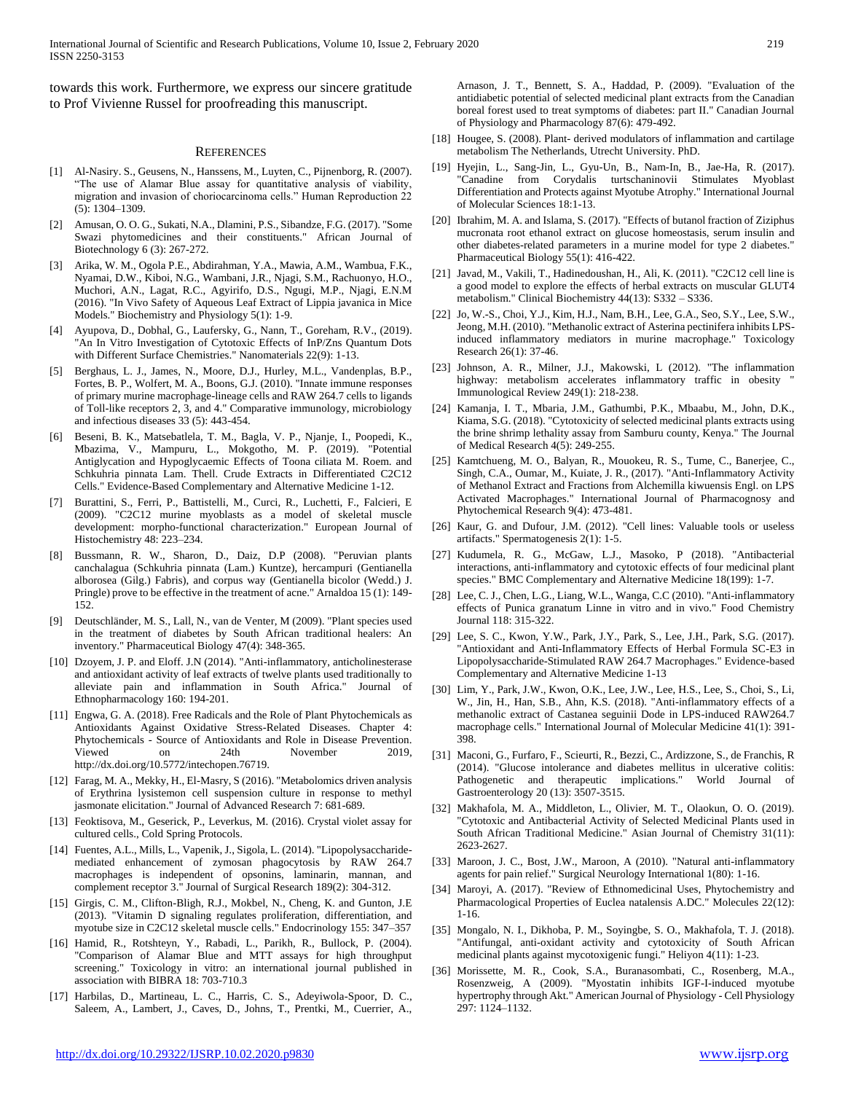towards this work. Furthermore, we express our sincere gratitude to Prof Vivienne Russel for proofreading this manuscript.

#### **REFERENCES**

- [1] Al-Nasiry. S., Geusens, N., Hanssens, M., Luyten, C., Pijnenborg, R. (2007). "The use of Alamar Blue assay for quantitative analysis of viability, migration and invasion of choriocarcinoma cells." Human Reproduction 22 (5): 1304–1309.
- [2] Amusan, O. O. G., Sukati, N.A., Dlamini, P.S., Sibandze, F.G. (2017). "Some Swazi phytomedicines and their constituents." African Journal of Biotechnology 6 (3): 267-272.
- [3] Arika, W. M., Ogola P.E., Abdirahman, Y.A., Mawia, A.M., Wambua, F.K., Nyamai, D.W., Kiboi, N.G., Wambani, J.R., Njagi, S.M., Rachuonyo, H.O., Muchori, A.N., Lagat, R.C., Agyirifo, D.S., Ngugi, M.P., Njagi, E.N.M (2016). "In Vivo Safety of Aqueous Leaf Extract of Lippia javanica in Mice Models." Biochemistry and Physiology 5(1): 1-9.
- Ayupova, D., Dobhal, G., Laufersky, G., Nann, T., Goreham, R.V., (2019). "An In Vitro Investigation of Cytotoxic Effects of InP/Zns Quantum Dots with Different Surface Chemistries." Nanomaterials 22(9): 1-13.
- [5] Berghaus, L. J., James, N., Moore, D.J., Hurley, M.L., Vandenplas, B.P., Fortes, B. P., Wolfert, M. A., Boons, G.J. (2010). "Innate immune responses of primary murine macrophage-lineage cells and RAW 264.7 cells to ligands of Toll-like receptors 2, 3, and 4." Comparative immunology, microbiology and infectious diseases 33 (5): 443-454.
- [6] Beseni, B. K., Matsebatlela, T. M., Bagla, V. P., Njanje, I., Poopedi, K., Mbazima, V., Mampuru, L., Mokgotho, M. P. (2019). "Potential Antiglycation and Hypoglycaemic Effects of Toona ciliata M. Roem. and Schkuhria pinnata Lam. Thell. Crude Extracts in Differentiated C2C12 Cells." Evidence-Based Complementary and Alternative Medicine 1-12.
- [7] Burattini, S., Ferri, P., Battistelli, M., Curci, R., Luchetti, F., Falcieri, E (2009). "C2C12 murine myoblasts as a model of skeletal muscle development: morpho-functional characterization." European Journal of Histochemistry 48: 223–234.
- [8] Bussmann, R. W., Sharon, D., Daiz, D.P (2008). "Peruvian plants canchalagua (Schkuhria pinnata (Lam.) Kuntze), hercampuri (Gentianella alborosea (Gilg.) Fabris), and corpus way (Gentianella bicolor (Wedd.) J. Pringle) prove to be effective in the treatment of acne." Arnaldoa 15 (1): 149- 152.
- [9] Deutschländer, M. S., Lall, N., van de Venter, M (2009). "Plant species used in the treatment of diabetes by South African traditional healers: An inventory." Pharmaceutical Biology 47(4): 348-365.
- [10] Dzoyem, J. P. and Eloff. J.N (2014). "Anti-inflammatory, anticholinesterase and antioxidant activity of leaf extracts of twelve plants used traditionally to alleviate pain and inflammation in South Africa." Journal of Ethnopharmacology 160: 194-201.
- [11] Engwa, G. A. (2018). Free Radicals and the Role of Plant Phytochemicals as Antioxidants Against Oxidative Stress-Related Diseases. Chapter 4: Phytochemicals - Source of Antioxidants and Role in Disease Prevention. Viewed on 24th November 2019, http://dx.doi.org/10.5772/intechopen.76719.
- [12] Farag, M. A., Mekky, H., El-Masry, S (2016). "Metabolomics driven analysis of Erythrina lysistemon cell suspension culture in response to methyl jasmonate elicitation." Journal of Advanced Research 7: 681-689.
- [13] Feoktisova, M., Geserick, P., Leverkus, M. (2016). Crystal violet assay for cultured cells., Cold Spring Protocols.
- [14] Fuentes, A.L., Mills, L., Vapenik, J., Sigola, L. (2014). "Lipopolysaccharidemediated enhancement of zymosan phagocytosis by RAW 264.7 macrophages is independent of opsonins, laminarin, mannan, and complement receptor 3." Journal of Surgical Research 189(2): 304-312.
- [15] Girgis, C. M., Clifton-Bligh, R.J., Mokbel, N., Cheng, K. and Gunton, J.E. (2013). "Vitamin D signaling regulates proliferation, differentiation, and myotube size in C2C12 skeletal muscle cells." Endocrinology 155: 347–357
- [16] Hamid, R., Rotshteyn, Y., Rabadi, L., Parikh, R., Bullock, P. (2004). "Comparison of Alamar Blue and MTT assays for high throughput screening." Toxicology in vitro: an international journal published in association with BIBRA 18: 703-710.3
- [17] Harbilas, D., Martineau, L. C., Harris, C. S., Adeyiwola-Spoor, D. C., Saleem, A., Lambert, J., Caves, D., Johns, T., Prentki, M., Cuerrier, A.,

Arnason, J. T., Bennett, S. A., Haddad, P. (2009). "Evaluation of the antidiabetic potential of selected medicinal plant extracts from the Canadian boreal forest used to treat symptoms of diabetes: part II." Canadian Journal of Physiology and Pharmacology 87(6): 479-492.

- [18] Hougee, S. (2008). Plant- derived modulators of inflammation and cartilage metabolism The Netherlands, Utrecht University. PhD.
- [19] Hyejin, L., Sang-Jin, L., Gyu-Un, B., Nam-In, B., Jae-Ha, R. (2017). "Canadine from Corydalis turtschaninovii Stimulates Myoblast Differentiation and Protects against Myotube Atrophy." International Journal of Molecular Sciences 18:1-13.
- [20] Ibrahim, M. A. and Islama, S. (2017). "Effects of butanol fraction of Ziziphus mucronata root ethanol extract on glucose homeostasis, serum insulin and other diabetes-related parameters in a murine model for type 2 diabetes." Pharmaceutical Biology 55(1): 416-422.
- [21] Javad, M., Vakili, T., Hadinedoushan, H., Ali, K. (2011). "C2C12 cell line is a good model to explore the effects of herbal extracts on muscular GLUT4 metabolism." Clinical Biochemistry 44(13): S332 – S336.
- [22] Jo, W.-S., Choi, Y.J., Kim, H.J., Nam, B.H., Lee, G.A., Seo, S.Y., Lee, S.W., Jeong, M.H. (2010). "Methanolic extract of Asterina pectinifera inhibits LPSinduced inflammatory mediators in murine macrophage." Toxicology Research 26(1): 37-46.
- [23] Johnson, A. R., Milner, J.J., Makowski, L (2012). "The inflammation highway: metabolism accelerates inflammatory traffic in obesity Immunological Review 249(1): 218-238.
- [24] Kamanja, I. T., Mbaria, J.M., Gathumbi, P.K., Mbaabu, M., John, D.K., Kiama, S.G. (2018). "Cytotoxicity of selected medicinal plants extracts using the brine shrimp lethality assay from Samburu county, Kenya." The Journal of Medical Research 4(5): 249-255.
- [25] Kamtchueng, M. O., Balyan, R., Mouokeu, R. S., Tume, C., Banerjee, C., Singh, C.A., Oumar, M., Kuiate, J. R., (2017). "Anti-Inflammatory Activity of Methanol Extract and Fractions from Alchemilla kiwuensis Engl. on LPS Activated Macrophages." International Journal of Pharmacognosy and Phytochemical Research 9(4): 473-481.
- [26] Kaur, G. and Dufour, J.M. (2012). "Cell lines: Valuable tools or useless artifacts." Spermatogenesis 2(1): 1-5.
- [27] Kudumela, R. G., McGaw, L.J., Masoko, P (2018). "Antibacterial interactions, anti-inflammatory and cytotoxic effects of four medicinal plant species." BMC Complementary and Alternative Medicine 18(199): 1-7.
- [28] Lee, C. J., Chen, L.G., Liang, W.L., Wanga, C.C (2010). "Anti-inflammatory effects of Punica granatum Linne in vitro and in vivo." Food Chemistry Journal 118: 315-322.
- [29] Lee, S. C., Kwon, Y.W., Park, J.Y., Park, S., Lee, J.H., Park, S.G. (2017). "Antioxidant and Anti-Inflammatory Effects of Herbal Formula SC-E3 in Lipopolysaccharide-Stimulated RAW 264.7 Macrophages." Evidence-based Complementary and Alternative Medicine 1-13
- [30] Lim, Y., Park, J.W., Kwon, O.K., Lee, J.W., Lee, H.S., Lee, S., Choi, S., Li, W., Jin, H., Han, S.B., Ahn, K.S. (2018). "Anti-inflammatory effects of a methanolic extract of Castanea seguinii Dode in LPS-induced RAW264.7 macrophage cells." International Journal of Molecular Medicine 41(1): 391- 398.
- [31] Maconi, G., Furfaro, F., Scieurti, R., Bezzi, C., Ardizzone, S., de Franchis, R (2014). "Glucose intolerance and diabetes mellitus in ulcerative colitis: Pathogenetic and therapeutic implications." Gastroenterology 20 (13): 3507-3515.
- [32] Makhafola, M. A., Middleton, L., Olivier, M. T., Olaokun, O. O. (2019). "Cytotoxic and Antibacterial Activity of Selected Medicinal Plants used in South African Traditional Medicine." Asian Journal of Chemistry 31(11): 2623-2627.
- [33] Maroon, J. C., Bost, J.W., Maroon, A (2010). "Natural anti-inflammatory agents for pain relief." Surgical Neurology International 1(80): 1-16.
- [34] Maroyi, A. (2017). "Review of Ethnomedicinal Uses, Phytochemistry and Pharmacological Properties of Euclea natalensis A.DC." Molecules 22(12): 1-16.
- [35] Mongalo, N. I., Dikhoba, P. M., Soyingbe, S. O., Makhafola, T. J. (2018). "Antifungal, anti-oxidant activity and cytotoxicity of South African medicinal plants against mycotoxigenic fungi." Heliyon 4(11): 1-23.
- [36] Morissette, M. R., Cook, S.A., Buranasombati, C., Rosenberg, M.A., Rosenzweig, A (2009). "Myostatin inhibits IGF-I-induced myotube hypertrophy through Akt." American Journal of Physiology - Cell Physiology 297: 1124–1132.